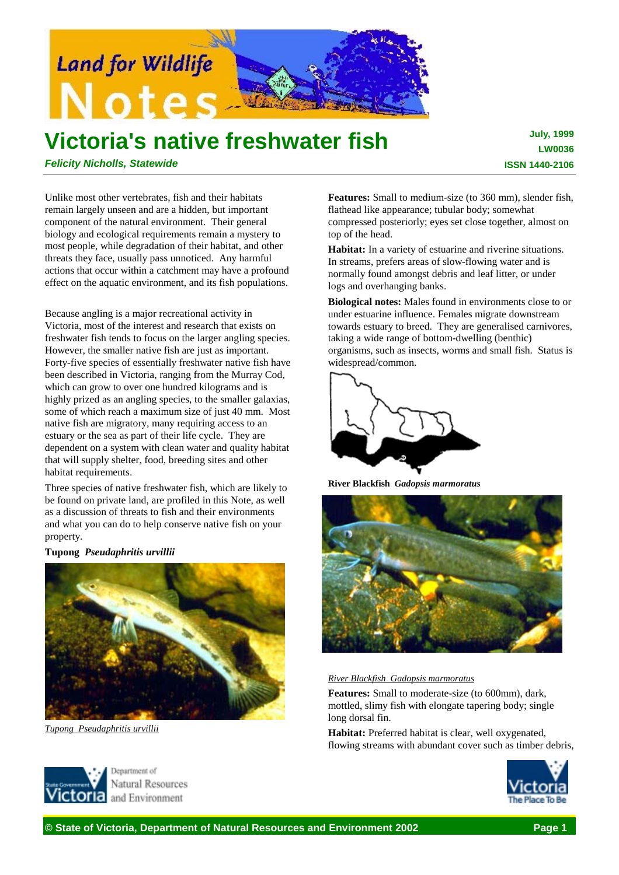

# **Victoria's native freshwater fish**

**July, 1999 LW0036 ISSN 1440-2106**

*Felicity Nicholls, Statewide*

Unlike most other vertebrates, fish and their habitats remain largely unseen and are a hidden, but important component of the natural environment. Their general biology and ecological requirements remain a mystery to most people, while degradation of their habitat, and other threats they face, usually pass unnoticed. Any harmful actions that occur within a catchment may have a profound effect on the aquatic environment, and its fish populations.

Because angling is a major recreational activity in Victoria, most of the interest and research that exists on freshwater fish tends to focus on the larger angling species. However, the smaller native fish are just as important. Forty-five species of essentially freshwater native fish have been described in Victoria, ranging from the Murray Cod, which can grow to over one hundred kilograms and is highly prized as an angling species, to the smaller galaxias, some of which reach a maximum size of just 40 mm. Most native fish are migratory, many requiring access to an estuary or the sea as part of their life cycle. They are dependent on a system with clean water and quality habitat that will supply shelter, food, breeding sites and other habitat requirements.

Three species of native freshwater fish, which are likely to be found on private land, are profiled in this Note, as well as a discussion of threats to fish and their environments and what you can do to help conserve native fish on your property.

**Tupong** *Pseudaphritis urvillii*



*Tupong Pseudaphritis urvillii*

**Features:** Small to medium-size (to 360 mm), slender fish, flathead like appearance; tubular body; somewhat compressed posteriorly; eyes set close together, almost on top of the head.

**Habitat:** In a variety of estuarine and riverine situations. In streams, prefers areas of slow-flowing water and is normally found amongst debris and leaf litter, or under logs and overhanging banks.

**Biological notes:** Males found in environments close to or under estuarine influence. Females migrate downstream towards estuary to breed. They are generalised carnivores, taking a wide range of bottom-dwelling (benthic) organisms, such as insects, worms and small fish. Status is widespread/common.



**River Blackfish** *Gadopsis marmoratus*



#### *River Blackfish Gadopsis marmoratus*

**Features:** Small to moderate-size (to 600mm), dark, mottled, slimy fish with elongate tapering body; single long dorsal fin.

**Habitat:** Preferred habitat is clear, well oxygenated, flowing streams with abundant cover such as timber debris,





**© State of Victoria, Department of Natural Resources and Environment 2002 Page 1**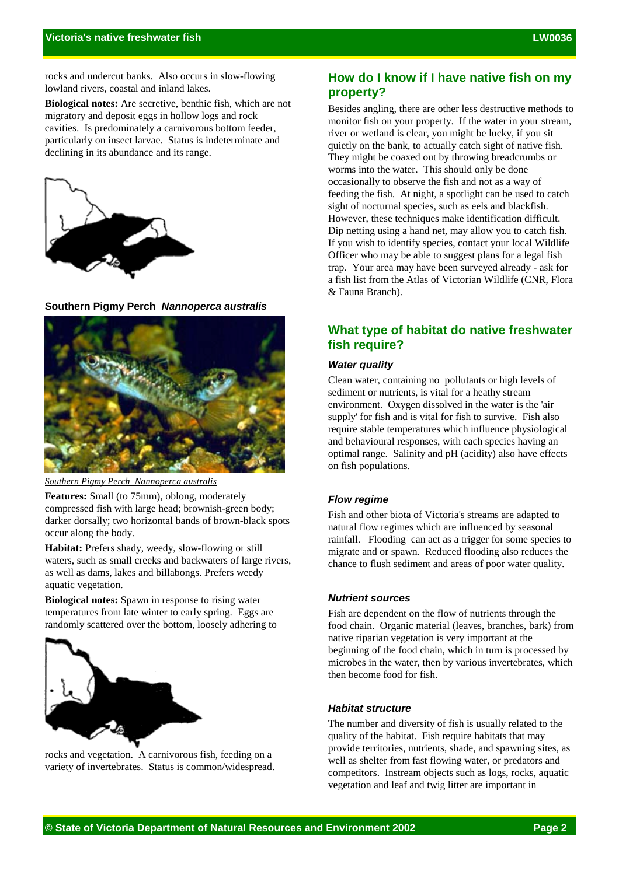rocks and undercut banks. Also occurs in slow-flowing lowland rivers, coastal and inland lakes.

**Biological notes:** Are secretive, benthic fish, which are not migratory and deposit eggs in hollow logs and rock cavities. Is predominately a carnivorous bottom feeder, particularly on insect larvae. Status is indeterminate and declining in its abundance and its range.



**Southern Pigmy Perch** *Nannoperca australis*



*Southern Pigmy Perch Nannoperca australis*

**Features:** Small (to 75mm), oblong, moderately compressed fish with large head; brownish-green body; darker dorsally; two horizontal bands of brown-black spots occur along the body.

**Habitat:** Prefers shady, weedy, slow-flowing or still waters, such as small creeks and backwaters of large rivers, as well as dams, lakes and billabongs. Prefers weedy aquatic vegetation.

**Biological notes:** Spawn in response to rising water temperatures from late winter to early spring. Eggs are randomly scattered over the bottom, loosely adhering to



rocks and vegetation. A carnivorous fish, feeding on a variety of invertebrates. Status is common/widespread.

# **How do I know if I have native fish on my property?**

Besides angling, there are other less destructive methods to monitor fish on your property. If the water in your stream, river or wetland is clear, you might be lucky, if you sit quietly on the bank, to actually catch sight of native fish. They might be coaxed out by throwing breadcrumbs or worms into the water. This should only be done occasionally to observe the fish and not as a way of feeding the fish. At night, a spotlight can be used to catch sight of nocturnal species, such as eels and blackfish. However, these techniques make identification difficult. Dip netting using a hand net, may allow you to catch fish. If you wish to identify species, contact your local Wildlife Officer who may be able to suggest plans for a legal fish trap. Your area may have been surveyed already - ask for a fish list from the Atlas of Victorian Wildlife (CNR, Flora & Fauna Branch).

# **What type of habitat do native freshwater fish require?**

## *Water quality*

Clean water, containing no pollutants or high levels of sediment or nutrients, is vital for a heathy stream environment. Oxygen dissolved in the water is the 'air supply' for fish and is vital for fish to survive. Fish also require stable temperatures which influence physiological and behavioural responses, with each species having an optimal range. Salinity and pH (acidity) also have effects on fish populations.

## *Flow regime*

Fish and other biota of Victoria's streams are adapted to natural flow regimes which are influenced by seasonal rainfall. Flooding can act as a trigger for some species to migrate and or spawn. Reduced flooding also reduces the chance to flush sediment and areas of poor water quality.

## *Nutrient sources*

Fish are dependent on the flow of nutrients through the food chain. Organic material (leaves, branches, bark) from native riparian vegetation is very important at the beginning of the food chain, which in turn is processed by microbes in the water, then by various invertebrates, which then become food for fish.

## *Habitat structure*

The number and diversity of fish is usually related to the quality of the habitat. Fish require habitats that may provide territories, nutrients, shade, and spawning sites, as well as shelter from fast flowing water, or predators and competitors. Instream objects such as logs, rocks, aquatic vegetation and leaf and twig litter are important in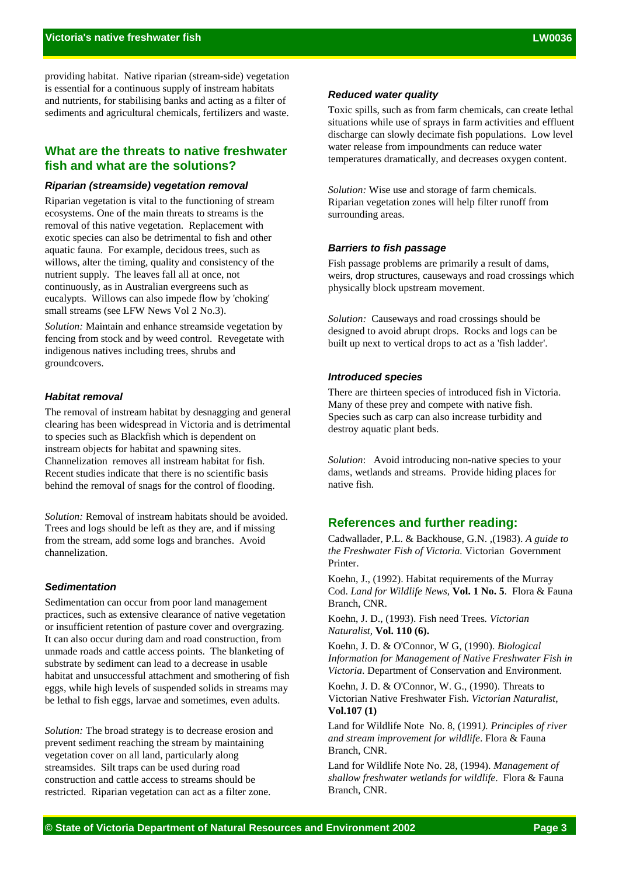providing habitat. Native riparian (stream-side) vegetation is essential for a continuous supply of instream habitats and nutrients, for stabilising banks and acting as a filter of sediments and agricultural chemicals, fertilizers and waste.

## **What are the threats to native freshwater fish and what are the solutions?**

## *Riparian (streamside) vegetation removal*

Riparian vegetation is vital to the functioning of stream ecosystems. One of the main threats to streams is the removal of this native vegetation. Replacement with exotic species can also be detrimental to fish and other aquatic fauna. For example, decidous trees, such as willows, alter the timing, quality and consistency of the nutrient supply. The leaves fall all at once, not continuously, as in Australian evergreens such as eucalypts. Willows can also impede flow by 'choking' small streams (see LFW News Vol 2 No.3).

*Solution:* Maintain and enhance streamside vegetation by fencing from stock and by weed control. Revegetate with indigenous natives including trees, shrubs and groundcovers.

### *Habitat removal*

The removal of instream habitat by desnagging and general clearing has been widespread in Victoria and is detrimental to species such as Blackfish which is dependent on instream objects for habitat and spawning sites. Channelization removes all instream habitat for fish. Recent studies indicate that there is no scientific basis behind the removal of snags for the control of flooding.

*Solution:* Removal of instream habitats should be avoided. Trees and logs should be left as they are, and if missing from the stream, add some logs and branches. Avoid channelization.

## *Sedimentation*

Sedimentation can occur from poor land management practices, such as extensive clearance of native vegetation or insufficient retention of pasture cover and overgrazing. It can also occur during dam and road construction, from unmade roads and cattle access points. The blanketing of substrate by sediment can lead to a decrease in usable habitat and unsuccessful attachment and smothering of fish eggs, while high levels of suspended solids in streams may be lethal to fish eggs, larvae and sometimes, even adults.

*Solution:* The broad strategy is to decrease erosion and prevent sediment reaching the stream by maintaining vegetation cover on all land, particularly along streamsides. Silt traps can be used during road construction and cattle access to streams should be restricted. Riparian vegetation can act as a filter zone.

## *Reduced water quality*

Toxic spills, such as from farm chemicals, can create lethal situations while use of sprays in farm activities and effluent discharge can slowly decimate fish populations. Low level water release from impoundments can reduce water temperatures dramatically, and decreases oxygen content.

*Solution:* Wise use and storage of farm chemicals. Riparian vegetation zones will help filter runoff from surrounding areas.

#### *Barriers to fish passage*

Fish passage problems are primarily a result of dams, weirs, drop structures, causeways and road crossings which physically block upstream movement.

*Solution:* Causeways and road crossings should be designed to avoid abrupt drops. Rocks and logs can be built up next to vertical drops to act as a 'fish ladder'.

### *Introduced species*

There are thirteen species of introduced fish in Victoria. Many of these prey and compete with native fish. Species such as carp can also increase turbidity and destroy aquatic plant beds.

*Solution*: Avoid introducing non-native species to your dams, wetlands and streams. Provide hiding places for native fish.

## **References and further reading:**

Cadwallader, P.L. & Backhouse, G.N. ,(1983). *A guide to the Freshwater Fish of Victoria.* Victorian Government Printer.

Koehn, J., (1992). Habitat requirements of the Murray Cod. *Land for Wildlife News*, **Vol. 1 No. 5**. Flora & Fauna Branch, CNR.

Koehn, J. D., (1993). Fish need Trees*. Victorian Naturalist*, **Vol. 110 (6).**

Koehn, J. D. & O'Connor, W G, (1990). *Biological Information for Management of Native Freshwater Fish in Victoria*. Department of Conservation and Environment.

Koehn, J. D. & O'Connor, W. G., (1990). Threats to Victorian Native Freshwater Fish. *Victorian Naturalist*, **Vol.107 (1)**

Land for Wildlife Note No. 8, (1991*). Principles of river and stream improvement for wildlife*. Flora & Fauna Branch, CNR.

Land for Wildlife Note No. 28, (1994). *Management of shallow freshwater wetlands for wildlife*. Flora & Fauna Branch, CNR.